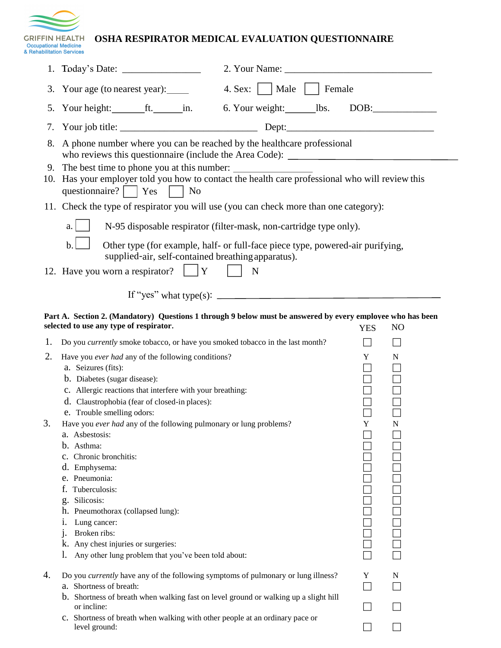## **GRIFFIN HEALTH**<br> **Occupational Medicine**<br>
& Rehabilitation Services **OSHA RESPIRATOR MEDICAL EVALUATION QUESTIONNAIRE**

|    | 3. Your age (to nearest year):                                                                                                                                                       | 4. Sex: $\Box$ Male $\Box$ Female                                                                                                                                                                                                                                                                  |             |                |  |
|----|--------------------------------------------------------------------------------------------------------------------------------------------------------------------------------------|----------------------------------------------------------------------------------------------------------------------------------------------------------------------------------------------------------------------------------------------------------------------------------------------------|-------------|----------------|--|
|    | 5. Your height: ft. _________ in.                                                                                                                                                    |                                                                                                                                                                                                                                                                                                    |             |                |  |
|    |                                                                                                                                                                                      |                                                                                                                                                                                                                                                                                                    |             |                |  |
|    | 8. A phone number where you can be reached by the healthcare professional<br>who reviews this questionnaire (include the Area Code): _________________________                       |                                                                                                                                                                                                                                                                                                    |             |                |  |
| 9. | The best time to phone you at this number:<br>10. Has your employer told you how to contact the health care professional who will review this<br>questionnaire? $\Box$ Yes $\Box$ No |                                                                                                                                                                                                                                                                                                    |             |                |  |
|    | 11. Check the type of respirator you will use (you can check more than one category):                                                                                                |                                                                                                                                                                                                                                                                                                    |             |                |  |
|    | a.                                                                                                                                                                                   | N-95 disposable respirator (filter-mask, non-cartridge type only).                                                                                                                                                                                                                                 |             |                |  |
|    | b.<br>supplied-air, self-contained breathing apparatus).                                                                                                                             | Other type (for example, half- or full-face piece type, powered-air purifying,                                                                                                                                                                                                                     |             |                |  |
|    | 12. Have you worn a respirator? $\Box Y$                                                                                                                                             | N                                                                                                                                                                                                                                                                                                  |             |                |  |
|    |                                                                                                                                                                                      |                                                                                                                                                                                                                                                                                                    |             |                |  |
|    |                                                                                                                                                                                      | If "yes" what type(s): $\frac{1}{2}$ = $\frac{1}{2}$ = $\frac{1}{2}$ = $\frac{1}{2}$ = $\frac{1}{2}$ = $\frac{1}{2}$ = $\frac{1}{2}$ = $\frac{1}{2}$ = $\frac{1}{2}$ = $\frac{1}{2}$ = $\frac{1}{2}$ = $\frac{1}{2}$ = $\frac{1}{2}$ = $\frac{1}{2}$ = $\frac{1}{2}$ = $\frac{1}{2}$ = $\frac{1}{$ |             |                |  |
|    | Part A. Section 2. (Mandatory) Questions 1 through 9 below must be answered by every employee who has been<br>selected to use any type of respirator.                                |                                                                                                                                                                                                                                                                                                    | <b>YES</b>  | N <sub>O</sub> |  |
| 1. | Do you currently smoke tobacco, or have you smoked tobacco in the last month?                                                                                                        |                                                                                                                                                                                                                                                                                                    |             | $\Box$         |  |
| 2. | Have you ever had any of the following conditions?                                                                                                                                   |                                                                                                                                                                                                                                                                                                    | Y           | $\mathbf N$    |  |
|    | a. Seizures (fits):                                                                                                                                                                  |                                                                                                                                                                                                                                                                                                    |             |                |  |
|    | b. Diabetes (sugar disease):                                                                                                                                                         |                                                                                                                                                                                                                                                                                                    |             |                |  |
|    | c. Allergic reactions that interfere with your breathing:                                                                                                                            |                                                                                                                                                                                                                                                                                                    |             |                |  |
|    | d. Claustrophobia (fear of closed-in places):                                                                                                                                        |                                                                                                                                                                                                                                                                                                    |             |                |  |
|    | e. Trouble smelling odors:                                                                                                                                                           |                                                                                                                                                                                                                                                                                                    |             |                |  |
| 3. | Have you ever had any of the following pulmonary or lung problems?                                                                                                                   |                                                                                                                                                                                                                                                                                                    | $\mathbf Y$ | N              |  |
|    | a. Asbestosis:                                                                                                                                                                       |                                                                                                                                                                                                                                                                                                    |             |                |  |
|    | b. Asthma:                                                                                                                                                                           |                                                                                                                                                                                                                                                                                                    |             |                |  |
|    | c. Chronic bronchitis:                                                                                                                                                               |                                                                                                                                                                                                                                                                                                    |             |                |  |
|    | d. Emphysema:                                                                                                                                                                        |                                                                                                                                                                                                                                                                                                    |             |                |  |
|    | e. Pneumonia:                                                                                                                                                                        |                                                                                                                                                                                                                                                                                                    |             |                |  |
|    | Tuberculosis:<br>g. Silicosis:                                                                                                                                                       |                                                                                                                                                                                                                                                                                                    |             |                |  |
|    | h. Pneumothorax (collapsed lung):                                                                                                                                                    |                                                                                                                                                                                                                                                                                                    |             |                |  |
|    | Lung cancer:                                                                                                                                                                         |                                                                                                                                                                                                                                                                                                    |             |                |  |
|    | 1.<br>Broken ribs:<br>1.                                                                                                                                                             |                                                                                                                                                                                                                                                                                                    |             |                |  |
|    | k. Any chest injuries or surgeries:                                                                                                                                                  |                                                                                                                                                                                                                                                                                                    |             |                |  |
|    | Any other lung problem that you've been told about:                                                                                                                                  |                                                                                                                                                                                                                                                                                                    |             |                |  |
| 4. |                                                                                                                                                                                      |                                                                                                                                                                                                                                                                                                    | Y           |                |  |
|    | Do you currently have any of the following symptoms of pulmonary or lung illness?<br>a. Shortness of breath:                                                                         |                                                                                                                                                                                                                                                                                                    |             | N              |  |
|    | b. Shortness of breath when walking fast on level ground or walking up a slight hill                                                                                                 |                                                                                                                                                                                                                                                                                                    |             |                |  |
|    | or incline:                                                                                                                                                                          |                                                                                                                                                                                                                                                                                                    |             |                |  |
|    | c. Shortness of breath when walking with other people at an ordinary pace or                                                                                                         |                                                                                                                                                                                                                                                                                                    |             |                |  |

Shortness of breath when waiking with other people at an ordinary pace or<br>level ground: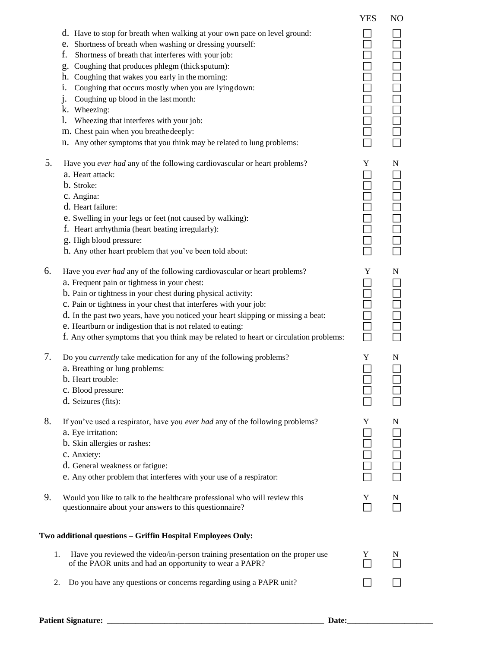|    |                                                                                                                                                                                                                                                                                                                                                                                                                                                                                                                                                                                                                                     | <b>YES</b>  | N <sub>O</sub> |  |
|----|-------------------------------------------------------------------------------------------------------------------------------------------------------------------------------------------------------------------------------------------------------------------------------------------------------------------------------------------------------------------------------------------------------------------------------------------------------------------------------------------------------------------------------------------------------------------------------------------------------------------------------------|-------------|----------------|--|
|    | d. Have to stop for breath when walking at your own pace on level ground:<br>e. Shortness of breath when washing or dressing yourself:<br>f.<br>Shortness of breath that interferes with your job:<br>Coughing that produces phlegm (thick sputum):<br>g.<br>h. Coughing that wakes you early in the morning:<br>Coughing that occurs mostly when you are lying down:<br>$\mathbf{1}$ .<br>Coughing up blood in the last month:<br>$\mathbf{1}$<br>k. Wheezing:<br>Wheezing that interferes with your job:<br>1.<br>m. Chest pain when you breathe deeply:<br>n. Any other symptoms that you think may be related to lung problems: |             |                |  |
| 5. | Have you ever had any of the following cardiovascular or heart problems?<br>a. Heart attack:<br>b. Stroke:<br>c. Angina:<br>d. Heart failure:<br>e. Swelling in your legs or feet (not caused by walking):<br>f. Heart arrhythmia (heart beating irregularly):<br>g. High blood pressure:<br>h. Any other heart problem that you've been told about:                                                                                                                                                                                                                                                                                | Y           | ${\bf N}$      |  |
| 6. | Have you ever had any of the following cardiovascular or heart problems?<br>a. Frequent pain or tightness in your chest:<br>b. Pain or tightness in your chest during physical activity:<br>c. Pain or tightness in your chest that interferes with your job:<br>d. In the past two years, have you noticed your heart skipping or missing a beat:<br>e. Heartburn or indigestion that is not related to eating:<br>f. Any other symptoms that you think may be related to heart or circulation problems:                                                                                                                           | $\mathbf Y$ | ${\bf N}$      |  |
| 7. | Do you <i>currently</i> take medication for any of the following problems?<br>a. Breathing or lung problems:<br>b. Heart trouble:<br>c. Blood pressure:<br>d. Seizures (fits):                                                                                                                                                                                                                                                                                                                                                                                                                                                      | Y           | N              |  |
| 8. | If you've used a respirator, have you ever had any of the following problems?<br>a. Eye irritation:<br>b. Skin allergies or rashes:<br>c. Anxiety:<br>d. General weakness or fatigue:<br>e. Any other problem that interferes with your use of a respirator:                                                                                                                                                                                                                                                                                                                                                                        | Y           | N              |  |
| 9. | Would you like to talk to the healthcare professional who will review this<br>questionnaire about your answers to this questionnaire?                                                                                                                                                                                                                                                                                                                                                                                                                                                                                               | Y           | N              |  |
|    | Two additional questions - Griffin Hospital Employees Only:                                                                                                                                                                                                                                                                                                                                                                                                                                                                                                                                                                         |             |                |  |
|    | Have you reviewed the video/in-person training presentation on the proper use<br>1.<br>of the PAOR units and had an opportunity to wear a PAPR?                                                                                                                                                                                                                                                                                                                                                                                                                                                                                     | Y           | N              |  |
|    | Do you have any questions or concerns regarding using a PAPR unit?<br>2.                                                                                                                                                                                                                                                                                                                                                                                                                                                                                                                                                            |             |                |  |